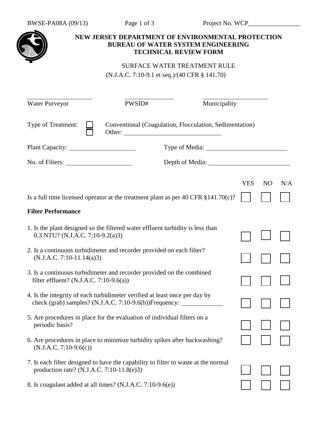

## **NEW JERSEY DEPARTMENT OF ENVIRONMENTAL PROTECTION BUREAU OF WATER SYSTEM ENGINEERING TECHNICAL REVIEW FORM**

## SURFACE WATER TREATMENT RULE (N.J.A.C. 7:10-9.1 et seq.)/(40 CFR § 141.70)

| Water Purveyor                                                                                                                  | PWSID#                                                                                                                                                                                                                         | Municipality                                                                        |            |                |     |
|---------------------------------------------------------------------------------------------------------------------------------|--------------------------------------------------------------------------------------------------------------------------------------------------------------------------------------------------------------------------------|-------------------------------------------------------------------------------------|------------|----------------|-----|
| Type of Treatment:                                                                                                              | Other: the contract of the contract of the contract of the contract of the contract of the contract of the contract of the contract of the contract of the contract of the contract of the contract of the contract of the con | Conventional (Coagulation, Flocculation, Sedimentation)                             |            |                |     |
|                                                                                                                                 |                                                                                                                                                                                                                                |                                                                                     |            |                |     |
|                                                                                                                                 |                                                                                                                                                                                                                                |                                                                                     |            |                |     |
|                                                                                                                                 |                                                                                                                                                                                                                                |                                                                                     | <b>YES</b> | N <sub>O</sub> | N/A |
|                                                                                                                                 |                                                                                                                                                                                                                                | Is a full time licensed operator at the treatment plant as per 40 CFR $$141.70(c)?$ |            |                |     |
| <b>Filter Performance</b>                                                                                                       |                                                                                                                                                                                                                                |                                                                                     |            |                |     |
| 1. Is the plant designed so the filtered water effluent turbidity is less than<br>$0.3$ NTU? (N.J.A.C. 7:10-9.2(a)3)            |                                                                                                                                                                                                                                |                                                                                     |            |                |     |
| 2. Is a continuous turbidimeter and recorder provided on each filter?<br>$(N.J.A.C. 7:10-11.14(a)3)$                            |                                                                                                                                                                                                                                |                                                                                     |            |                |     |
| 3. Is a continuous turbidimeter and recorder provided on the combined<br>filter effluent? (N.J.A.C. 7:10-9.6(a))                |                                                                                                                                                                                                                                |                                                                                     |            |                |     |
| 4. Is the integrity of each turbidimeter verified at least once per day by                                                      | check (grab) samples? (N.J.A.C. 7:10-9.6(b))Frequency: __________________________                                                                                                                                              |                                                                                     |            |                |     |
| 5. Are procedures in place for the evaluation of individual filters on a<br>periodic basis?                                     |                                                                                                                                                                                                                                |                                                                                     |            |                |     |
| 6. Are procedures in place to minimize turbidity spikes after backwashing?<br>$(N.J.A.C. 7:10-9.6(c))$                          |                                                                                                                                                                                                                                |                                                                                     |            |                |     |
| 7. Is each filter designed to have the capability to filter to waste at the normal<br>production rate? (N.J.A.C. 7:10-11.8(e)3) |                                                                                                                                                                                                                                |                                                                                     |            |                |     |
| 8. Is coagulant added at all times? (N.J.A.C. 7:10-9.6(e))                                                                      |                                                                                                                                                                                                                                |                                                                                     |            |                |     |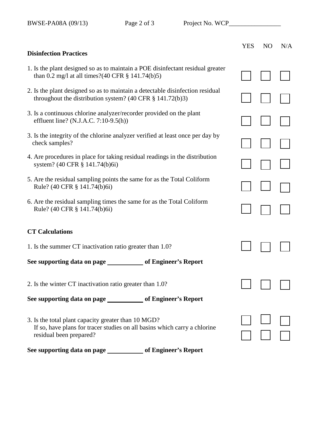|                                                                                                                                                             | <b>YES</b> | N <sub>O</sub> | N/A |
|-------------------------------------------------------------------------------------------------------------------------------------------------------------|------------|----------------|-----|
| <b>Disinfection Practices</b>                                                                                                                               |            |                |     |
| 1. Is the plant designed so as to maintain a POE disinfectant residual greater<br>than 0.2 mg/l at all times?(40 CFR $\S$ 141.74(b)5)                       |            |                |     |
| 2. Is the plant designed so as to maintain a detectable disinfection residual<br>throughout the distribution system? $(40 \text{ CFR } \S$ 141.72(b)3)      |            |                |     |
| 3. Is a continuous chlorine analyzer/recorder provided on the plant<br>effluent line? (N.J.A.C. 7:10-9.5(h))                                                |            |                |     |
| 3. Is the integrity of the chlorine analyzer verified at least once per day by<br>check samples?                                                            |            |                |     |
| 4. Are procedures in place for taking residual readings in the distribution<br>system? (40 CFR § 141.74(b)6i)                                               |            |                |     |
| 5. Are the residual sampling points the same for as the Total Coliform<br>Rule? (40 CFR § 141.74(b)6i)                                                      |            |                |     |
| 6. Are the residual sampling times the same for as the Total Coliform<br>Rule? (40 CFR § 141.74(b)6i)                                                       |            |                |     |
| <b>CT Calculations</b>                                                                                                                                      |            |                |     |
| 1. Is the summer CT inactivation ratio greater than 1.0?                                                                                                    |            |                |     |
| See supporting data on page ______________ of Engineer's Report                                                                                             |            |                |     |
| 2. Is the winter CT inactivation ratio greater than 1.0?                                                                                                    |            |                |     |
| See supporting data on page _____________ of Engineer's Report                                                                                              |            |                |     |
| 3. Is the total plant capacity greater than 10 MGD?<br>If so, have plans for tracer studies on all basins which carry a chlorine<br>residual been prepared? |            |                |     |
| See supporting data on page ______________ of Engineer's Report                                                                                             |            |                |     |